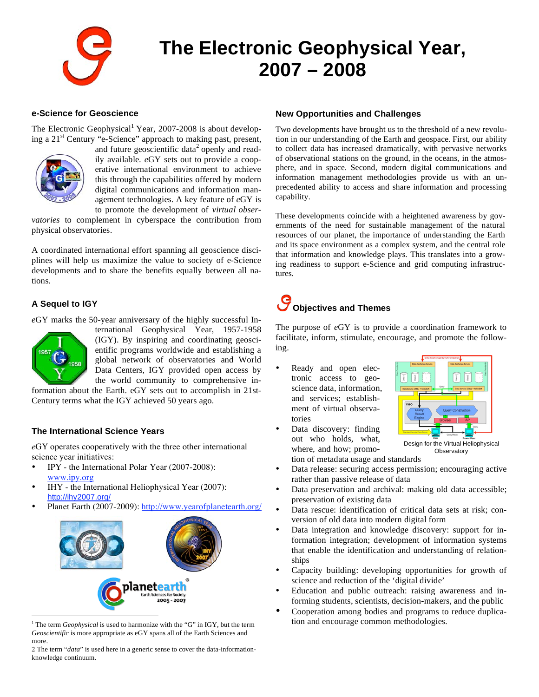

## **The Electronic Geophysical Year, 2007 – 2008**

#### **e-Science for Geoscience**

The Electronic Geophysical<sup>1</sup> Year, 2007-2008 is about developing a 21<sup>st</sup> Century "e-Science" approach to making past, present,



and future geoscientific data<sup>2</sup> openly and readily available. *e*GY sets out to provide a cooperative international environment to achieve this through the capabilities offered by modern digital communications and information management technologies. A key feature of *e*GY is to promote the development of *virtual obser-*

*vatories* to complement in cyberspace the contribution from physical observatories.

A coordinated international effort spanning all geoscience disciplines will help us maximize the value to society of e-Science developments and to share the benefits equally between all nations.

#### **A Sequel to IGY**

*e*GY marks the 50-year anniversary of the highly successful In-



 $\overline{a}$ 

ternational Geophysical Year, 1957-1958 (IGY). By inspiring and coordinating geoscientific programs worldwide and establishing a global network of observatories and World Data Centers, IGY provided open access by the world community to comprehensive in-

formation about the Earth. eGY sets out to accomplish in 21st-Century terms what the IGY achieved 50 years ago.

#### **The International Science Years**

*e*GY operates cooperatively with the three other international science year initiatives:

- IPY the International Polar Year (2007-2008): www.ipy.org
- IHY the International Heliophysical Year (2007): http://ihy2007.org/
- Planet Earth (2007-2009): http://www.yearofplanetearth.org/



<sup>1</sup> The term *Geophysical* is used to harmonize with the "G" in IGY, but the term *Geoscientific* is more appropriate as eGY spans all of the Earth Sciences and more.

2 The term "*data*" is used here in a generic sense to cover the data-informationknowledge continuum.

#### **New Opportunities and Challenges**

Two developments have brought us to the threshold of a new revolution in our understanding of the Earth and geospace. First, our ability to collect data has increased dramatically, with pervasive networks of observational stations on the ground, in the oceans, in the atmosphere, and in space. Second, modern digital communications and information management methodologies provide us with an unprecedented ability to access and share information and processing capability.

These developments coincide with a heightened awareness by governments of the need for sustainable management of the natural resources of our planet, the importance of understanding the Earth and its space environment as a complex system, and the central role that information and knowledge plays. This translates into a growing readiness to support e-Science and grid computing infrastructures.

## **Objectives and Themes**

The purpose of *e*GY is to provide a coordination framework to facilitate, inform, stimulate, encourage, and promote the following.

Ready and open electronic access to geoscience data, information, and services; establishment of virtual observatories



Data discovery: finding out who holds, what, where, and how; promotion of metadata usage and standards

Design for the Virtual Heliophysical **Observatory** 

- Data release: securing access permission; encouraging active rather than passive release of data
- Data preservation and archival: making old data accessible; preservation of existing data
- Data rescue: identification of critical data sets at risk; conversion of old data into modern digital form
- Data integration and knowledge discovery: support for information integration; development of information systems that enable the identification and understanding of relationships
- Capacity building: developing opportunities for growth of science and reduction of the 'digital divide'
- Education and public outreach: raising awareness and informing students, scientists, decision-makers, and the public
- Cooperation among bodies and programs to reduce duplication and encourage common methodologies.